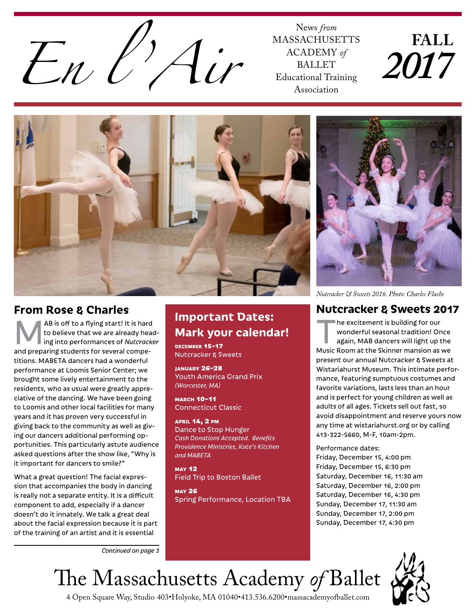

MASSACHUSETTS ACADEMY *of* BALLET Educational Training Association

# **FALL** *2017*



## **From Rose & Charles**

AB is off to a flying start! It is hard<br>to believe that we are already head-<br>ing into performances of *Nutcracker*<br>and proparing students for source compo to believe that we are already headand preparing students for several competitions. MABETA dancers had a wonderful performance at Loomis Senior Center; we brought some lively entertainment to the residents, who as usual were greatly appreciative of the dancing. We have been going to Loomis and other local facilities for many years and it has proven very successful in giving back to the community as well as giving our dancers additional performing opportunities. This particularly astute audience asked questions after the show like, "Why is it important for dancers to smile?"

What a great question! The facial expression that accompanies the body in dancing is really not a separate entity. It is a difficult component to add, especially if a dancer doesn't do it innately. We talk a great deal about the facial expression because it is part of the training of an artist and it is essential

# **Important Dates: Mark your calendar!**

**december 15-17** Nutcracker & Sweets

**january 26-28** Youth America Grand Prix *(Worcester, MA)*

**march 10-11** Connecticut Classic

**april 14, 2 pm** Dance to Stop Hunger *Cash Donations Accepted. Benefits Providence MInistries, Kate's Kitchen and MABETA*

**may 12** Field Trip to Boston Ballet

**may 26** Spring Performance, Location TBA



*Nutcracker & Sweets 2016. Photo: Charles Flachs*

### **Nutcracker & Sweets 2017**

The excitement is building for our<br>
wonderful seasonal tradition! Once<br>
again, MAB dancers will light up the<br>
Music Boom at the Skinner mansion as we wonderful seasonal tradition! Once Music Room at the Skinner mansion as we present our annual Nutcracker & Sweets at Wistariahurst Museum. This intimate performance, featuring sumptuous costumes and favorite variations, lasts less than an hour and is perfect for young children as well as adults of all ages. Tickets sell out fast, so avoid disappointment and reserve yours now any time at wistariahurst.org or by calling 413-322-5660, M-F, 10am-2pm.

Performance dates: Friday, December 15, 4:00 pm Friday, December 15, 6:30 pm Saturday, December 16, 11:30 am Saturday, December 16, 2:00 pm Saturday, December 16, 4:30 pm Sunday, December 17, 11:30 am Sunday, December 17, 2:00 pm Sunday, December 17, 4:30 pm

*Continued on page 3*



The Massachusetts Academy *of* Ballet

4 Open Square Way, Studio 403•Holyoke, MA 01040•413.536.6200•massacademyofballet.com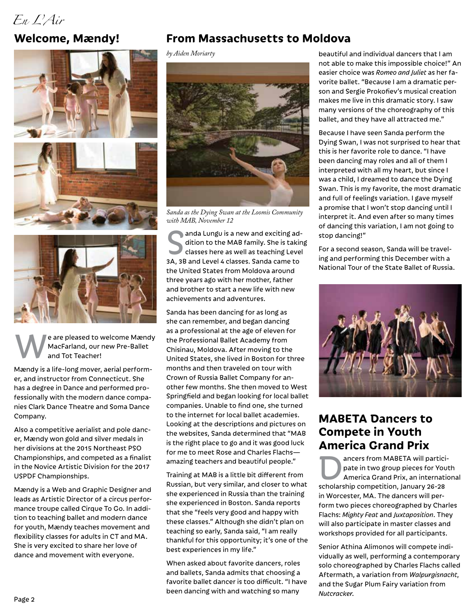

#### **Welcome, Mændy!**





e are pleased to welcome Mændy MacFarland, our new Pre-Ballet and Tot Teacher!

Mændy is a life-long mover, aerial performer, and instructor from Connecticut. She has a degree in Dance and performed professionally with the modern dance companies Clark Dance Theatre and Soma Dance Company.

Also a competitive aerialist and pole dancer, Mændy won gold and silver medals in her divisions at the 2015 Northeast PSO Championships, and competed as a finalist in the Novice Artistic Division for the 2017 USPDF Championships.

Mændy is a Web and Graphic Designer and leads as Artistic Director of a circus performance troupe called Cirque To Go. In addition to teaching ballet and modern dance for youth, Mændy teaches movement and flexibility classes for adults in CT and MA. She is very excited to share her love of dance and movement with everyone.

#### **From Massachusetts to Moldova**

*by Aiden Moriarty*



*Sanda as the Dying Swan at the Loomis Community with MAB, November 12*

anda Lungu is a new and exciting ad-<br>dition to the MAB family. She is taking<br>classes here as well as teaching Level<br>2A 2B and Lovel 4 classes. Sanda came to dition to the MAB family. She is taking 3A, 3B and Level 4 classes. Sanda came to the United States from Moldova around three years ago with her mother, father and brother to start a new life with new achievements and adventures.

Sanda has been dancing for as long as she can remember, and began dancing as a professional at the age of eleven for the Professional Ballet Academy from Chisinau, Moldova. After moving to the United States, she lived in Boston for three months and then traveled on tour with Crown of Russia Ballet Company for another few months. She then moved to West Springfield and began looking for local ballet companies. Unable to find one, she turned to the internet for local ballet academies. Looking at the descriptions and pictures on the websites, Sanda determined that "MAB is the right place to go and it was good luck for me to meet Rose and Charles Flachs amazing teachers and beautiful people."

Training at MAB is a little bit different from Russian, but very similar, and closer to what she experienced in Russia than the training she experienced in Boston. Sanda reports that she "feels very good and happy with these classes." Although she didn't plan on teaching so early, Sanda said, "I am really thankful for this opportunity; it's one of the best experiences in my life."

When asked about favorite dancers, roles and ballets, Sanda admits that choosing a favorite ballet dancer is too difficult. "I have been dancing with and watching so many

beautiful and individual dancers that I am not able to make this impossible choice!" An easier choice was *Romeo and Juliet* as her favorite ballet. "Because I am a dramatic person and Sergie Prokofiev's musical creation makes me live in this dramatic story. I saw many versions of the choreography of this ballet, and they have all attracted me."

Because I have seen Sanda perform the Dying Swan, I was not surprised to hear that this is her favorite role to dance. "I have been dancing may roles and all of them I interpreted with all my heart, but since I was a child, I dreamed to dance the Dying Swan. This is my favorite, the most dramatic and full of feelings variation. I gave myself a promise that I won't stop dancing until I interpret it. And even after so many times of dancing this variation, I am not going to stop dancing!"

For a second season, Sanda will be traveling and performing this December with a National Tour of the State Ballet of Russia.



### **MABETA Dancers to Compete in Youth America Grand Prix**

ancers from MABETA will participate in two group pieces for Youth America Grand Prix, an international scholarship competition, January 26-28 in Worcester, MA. The dancers will perform two pieces choreographed by Charles Flachs: *Mighty Feat* and *Juxtaposition*. They will also participate in master classes and workshops provided for all participants.

Senior Athina Alimonos will compete individually as well, performing a contemporary solo choreographed by Charles Flachs called Aftermath, a variation from *Walpurgisnacht*, and the Sugar Plum Fairy variation from *Nutcracker*.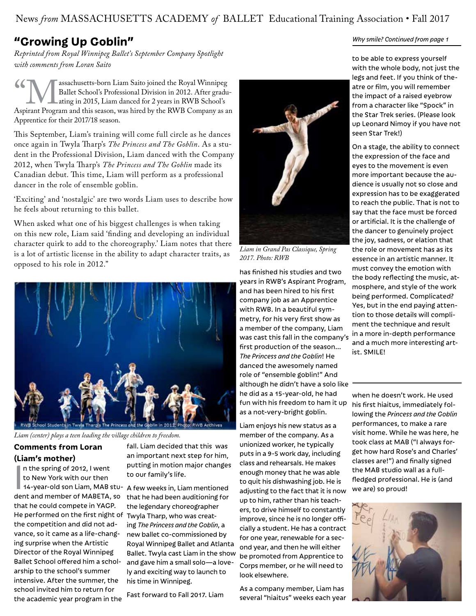#### News *from* MASSACHUSETTS ACADEMY *of* BALLET Educational Training Association • Fall 2017

#### **"Growing Up Goblin"**

*Reprinted from Royal Winnipeg Ballet's September Company Spotlight with comments from Loran Saito*

Second Tassachusetts-born Liam Saito joined the Royal Winnipeg<br>
Ballet School's Professional Division in 2012. After gradu-<br>
Aspirant Program and this season, was hired by the RWB Company as an Ballet School's Professional Division in 2012. After graduating in 2015, Liam danced for 2 years in RWB School's Apprentice for their 2017/18 season.

This September, Liam's training will come full circle as he dances once again in Twyla Tharp's *The Princess and The Goblin*. As a student in the Professional Division, Liam danced with the Company 2012, when Twyla Tharp's *The Princess and The Goblin* made its Canadian debut. This time, Liam will perform as a professional dancer in the role of ensemble goblin.

'Exciting' and 'nostalgic' are two words Liam uses to describe how he feels about returning to this ballet.

When asked what one of his biggest challenges is when taking on this new role, Liam said 'finding and developing an individual character quirk to add to the choreography.' Liam notes that there is a lot of artistic license in the ability to adapt character traits, as opposed to his role in 2012."



*Liam (center) plays a teen leading the village children to freedom.*

#### **Comments from Loran (Liam's mother)**

In the spring of 2012, I went<br>
to our family's life.<br>
14-year-old son Liam, MAB stu-A few weeks in, Liam mentioned<br>
dont and momber of MABETA so, that he lead has possible visit for n the spring of 2012, I went to New York with our then dent and member of MABETA, so that he could compete in YAGP. He performed on the first night of Twyla Tharp, who was creatthe competition and did not advance, so it came as a life-changing surprise when the Artistic Director of the Royal Winnipeg Ballet School offered him a scholarship to the school's summer intensive. After the summer, the school invited him to return for the academic year program in the

fall. Liam decided that this was an important next step for him, putting in motion major changes to our family's life.

that he had been auditioning for the legendary choreographer ing *The Princess and the Goblin*, a new ballet co-commissioned by Royal Winnipeg Ballet and Atlanta Ballet. Twyla cast Liam in the show and gave him a small solo—a lovely and exciting way to launch to his time in Winnipeg.

Fast forward to Fall 2017. Liam



*Liam in Grand Pas Classique, Spring 2017. Photo: RWB*

has finished his studies and two years in RWB's Aspirant Program, and has been hired to his first company job as an Apprentice with RWB. In a beautiful symmetry, for his very first show as a member of the company, Liam was cast this fall in the company's first production of the season… *The Princess and the Goblin*! He danced the awesomely named role of "ensemble goblin!" And although he didn't have a solo like he did as a 15-year-old, he had fun with his freedom to ham it up as a not-very-bright goblin.

Liam enjoys his new status as a member of the company. As a unionized worker, he typically puts in a 9-5 work day, including class and rehearsals. He makes enough money that he was able to quit his dishwashing job. He is adjusting to the fact that it is now up to him, rather than his teachers, to drive himself to constantly improve, since he is no longer officially a student. He has a contract for one year, renewable for a second year, and then he will either be promoted from Apprentice to Corps member, or he will need to look elsewhere.

As a company member, Liam has several "hiaitus" weeks each year

#### *Why smile? Continued from page 1*

to be able to express yourself with the whole body, not just the legs and feet. If you think of theatre or film, you will remember the impact of a raised eyebrow from a character like "Spock" in the Star Trek series. (Please look up Leonard Nimoy if you have not seen Star Trek!)

On a stage, the ability to connect the expression of the face and eyes to the movement is even more important because the audience is usually not so close and expression has to be exaggerated to reach the public. That is not to say that the face must be forced or artificial. It is the challenge of the dancer to genuinely project the joy, sadness, or elation that the role or movement has as its essence in an artistic manner. It must convey the emotion with the body reflecting the music, atmosphere, and style of the work being performed. Complicated? Yes, but in the end paying attention to those details will compliment the technique and result in a more in-depth performance and a much more interesting artist. SMILE!

when he doesn't work. He used his first hiaitus, immediately following the *Princess and the Goblin* performances, to make a rare visit home. While he was here, he took class at MAB ("I always forget how hard Rose's and Charles' classes are!") and finally signed the MAB studio wall as a fullfledged professional. He is (and we are) so proud!

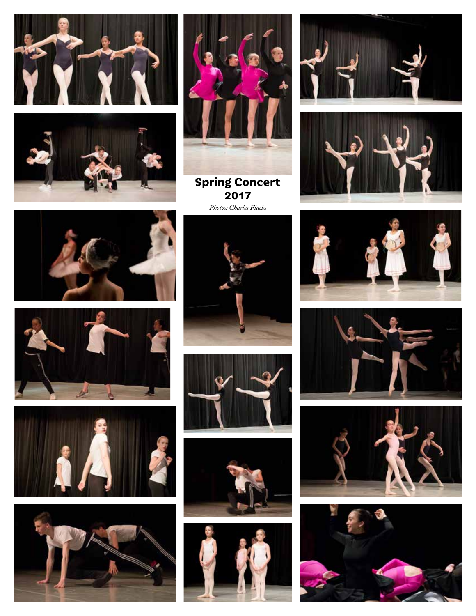





**Spring Concert 2017** *Photos: Charles Flachs* 



























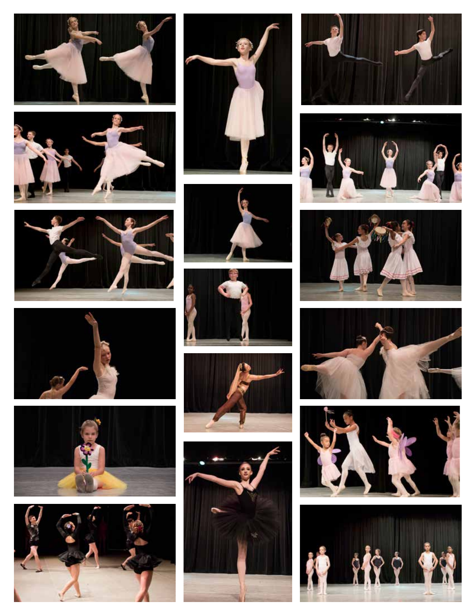































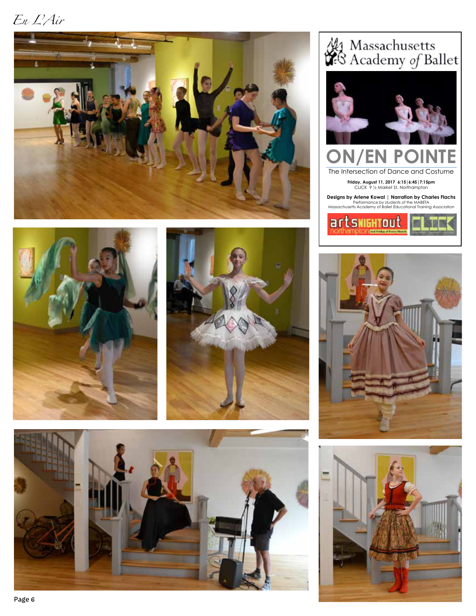*En L'Air*















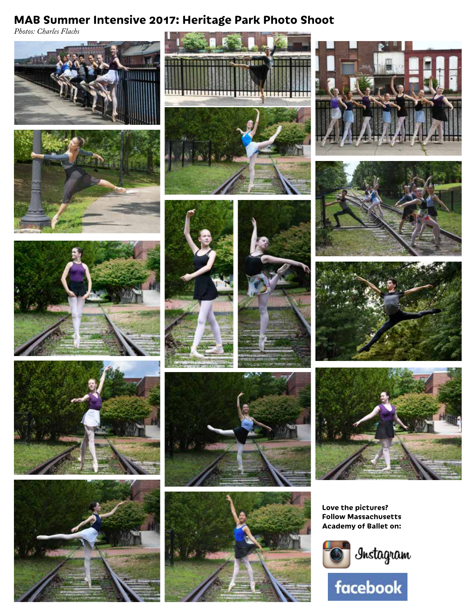## **MAB Summer Intensive 2017: Heritage Park Photo Shoot**

*Photos: Charles Flachs*























**Love the pictures? Follow Massachusetts Academy of Ballet on:**